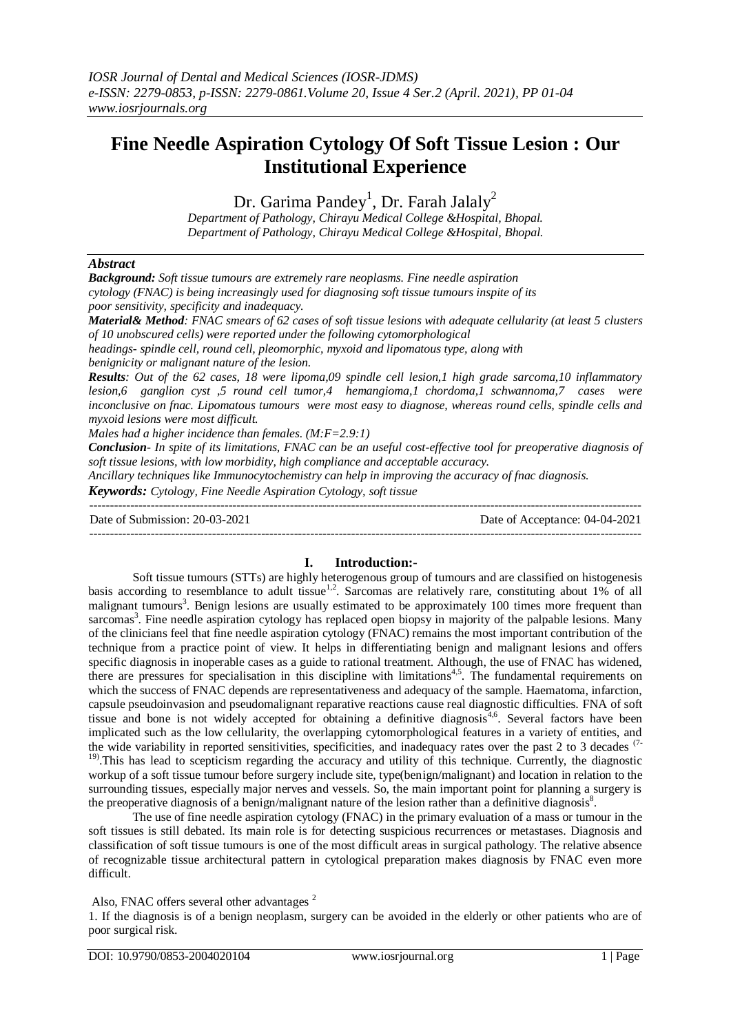# **Fine Needle Aspiration Cytology Of Soft Tissue Lesion : Our Institutional Experience**

Dr. Garima Pandey<sup>1</sup>, Dr. Farah Jalaly<sup>2</sup>

*Department of Pathology, Chirayu Medical College &Hospital, Bhopal. Department of Pathology, Chirayu Medical College &Hospital, Bhopal.*

## *Abstract*

| <b>Background:</b> Soft tissue tumours are extremely rare neoplasms. Fine needle aspiration<br>cytology (FNAC) is being increasingly used for diagnosing soft tissue tumours inspite of its<br>poor sensitivity, specificity and inadequacy.<br><b>Material&amp; Method:</b> FNAC smears of 62 cases of soft tissue lesions with adequate cellularity (at least 5 clusters                                                                                                                                                                                                                                                                                                                                                                                                                                                              |                                                                                                        |
|-----------------------------------------------------------------------------------------------------------------------------------------------------------------------------------------------------------------------------------------------------------------------------------------------------------------------------------------------------------------------------------------------------------------------------------------------------------------------------------------------------------------------------------------------------------------------------------------------------------------------------------------------------------------------------------------------------------------------------------------------------------------------------------------------------------------------------------------|--------------------------------------------------------------------------------------------------------|
| of 10 unobscured cells) were reported under the following cytomorphological<br>headings- spindle cell, round cell, pleomorphic, myxoid and lipomatous type, along with                                                                                                                                                                                                                                                                                                                                                                                                                                                                                                                                                                                                                                                                  |                                                                                                        |
| benignicity or malignant nature of the lesion.                                                                                                                                                                                                                                                                                                                                                                                                                                                                                                                                                                                                                                                                                                                                                                                          |                                                                                                        |
| <b>Results:</b> Out of the 62 cases, 18 were lipoma,09 spindle cell lesion, 1 high grade sarcoma, 10 inflammatory<br>lesion,6 ganglion cyst ,5 round cell tumor,4 hemangioma,1 chordoma,1 schwannoma,7 cases were<br>inconclusive on fnac. Lipomatous tumours were most easy to diagnose, whereas round cells, spindle cells and<br>myxoid lesions were most difficult.<br>Males had a higher incidence than females. $(M: F=2.9:1)$<br><b>Conclusion</b> - In spite of its limitations, FNAC can be an useful cost-effective tool for preoperative diagnosis of<br>soft tissue lesions, with low morbidity, high compliance and acceptable accuracy.<br>Ancillary techniques like Immunocytochemistry can help in improving the accuracy of fnac diagnosis.<br><b>Keywords:</b> Cytology, Fine Needle Aspiration Cytology, soft tissue |                                                                                                        |
| Date of Submission: 20-03-2021                                                                                                                                                                                                                                                                                                                                                                                                                                                                                                                                                                                                                                                                                                                                                                                                          | Date of Acceptance: 04-04-2021                                                                         |
| <b>Introduction:-</b><br>L.                                                                                                                                                                                                                                                                                                                                                                                                                                                                                                                                                                                                                                                                                                                                                                                                             | Soft tissue tumours (STTs) are highly heterogenous group of tumours and are classified on histogenesis |

Soft tissue tumours (STTs) are highly heterogenous group of tumours and are classified on histogenesis basis according to resemblance to adult tissue<sup>1,2</sup>. Sarcomas are relatively rare, constituting about 1% of all malignant tumours<sup>3</sup>. Benign lesions are usually estimated to be approximately 100 times more frequent than sarcomas<sup>3</sup>. Fine needle aspiration cytology has replaced open biopsy in majority of the palpable lesions. Many of the clinicians feel that fine needle aspiration cytology (FNAC) remains the most important contribution of the technique from a practice point of view. It helps in differentiating benign and malignant lesions and offers specific diagnosis in inoperable cases as a guide to rational treatment. Although, the use of FNAC has widened, there are pressures for specialisation in this discipline with limitations<sup>4,5</sup>. The fundamental requirements on which the success of FNAC depends are representativeness and adequacy of the sample. Haematoma, infarction, capsule pseudoinvasion and pseudomalignant reparative reactions cause real diagnostic difficulties. FNA of soft tissue and bone is not widely accepted for obtaining a definitive diagnosis<sup>4,6</sup>. Several factors have been implicated such as the low cellularity, the overlapping cytomorphological features in a variety of entities, and the wide variability in reported sensitivities, specificities, and inadequacy rates over the past 2 to 3 decades  $(7 - 1)$ <sup>19)</sup>. This has lead to scepticism regarding the accuracy and utility of this technique. Currently, the diagnostic workup of a soft tissue tumour before surgery include site, type(benign/malignant) and location in relation to the surrounding tissues, especially major nerves and vessels. So, the main important point for planning a surgery is the preoperative diagnosis of a benign/malignant nature of the lesion rather than a definitive diagnosis<sup>8</sup>.

The use of fine needle aspiration cytology (FNAC) in the primary evaluation of a mass or tumour in the soft tissues is still debated. Its main role is for detecting suspicious recurrences or metastases. Diagnosis and classification of soft tissue tumours is one of the most difficult areas in surgical pathology. The relative absence of recognizable tissue architectural pattern in cytological preparation makes diagnosis by FNAC even more difficult.

Also, FNAC offers several other advantages<sup>2</sup>

1. If the diagnosis is of a benign neoplasm, surgery can be avoided in the elderly or other patients who are of poor surgical risk.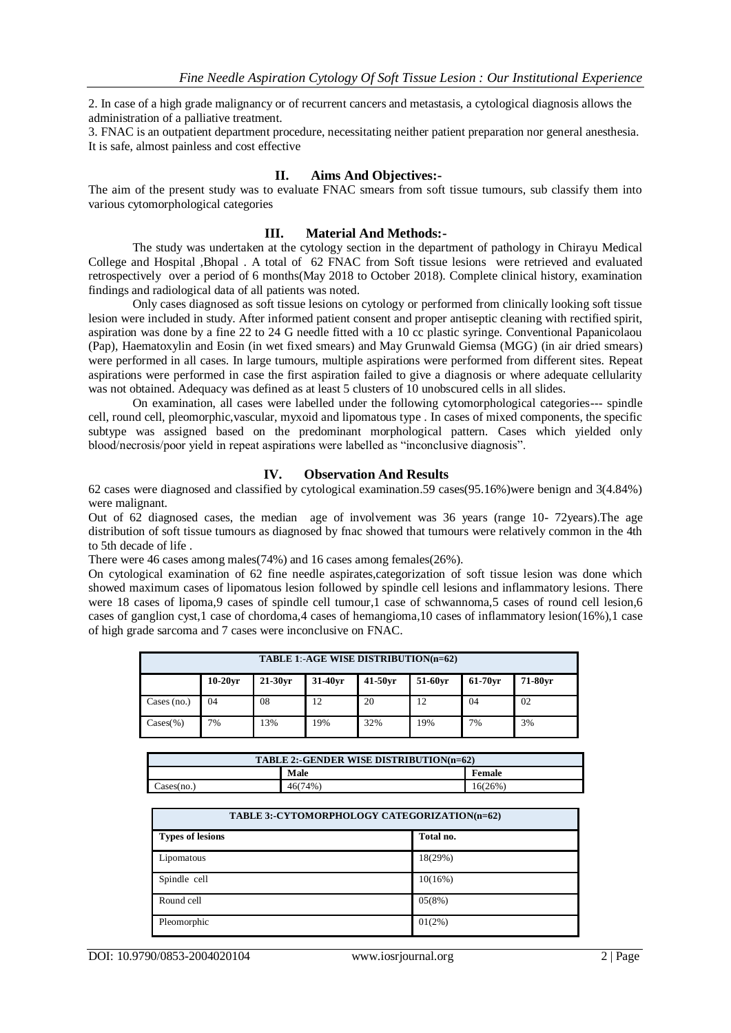2. In case of a high grade malignancy or of recurrent cancers and metastasis, a cytological diagnosis allows the administration of a palliative treatment.

3. FNAC is an outpatient department procedure, necessitating neither patient preparation nor general anesthesia. It is safe, almost painless and cost effective

### **II. Aims And Objectives:-**

The aim of the present study was to evaluate FNAC smears from soft tissue tumours, sub classify them into various cytomorphological categories

#### **III. Material And Methods:-**

The study was undertaken at the cytology section in the department of pathology in Chirayu Medical College and Hospital ,Bhopal . A total of 62 FNAC from Soft tissue lesions were retrieved and evaluated retrospectively over a period of 6 months(May 2018 to October 2018). Complete clinical history, examination findings and radiological data of all patients was noted.

Only cases diagnosed as soft tissue lesions on cytology or performed from clinically looking soft tissue lesion were included in study. After informed patient consent and proper antiseptic cleaning with rectified spirit, aspiration was done by a fine 22 to 24 G needle fitted with a 10 cc plastic syringe. Conventional Papanicolaou (Pap), Haematoxylin and Eosin (in wet fixed smears) and May Grunwald Giemsa (MGG) (in air dried smears) were performed in all cases. In large tumours, multiple aspirations were performed from different sites. Repeat aspirations were performed in case the first aspiration failed to give a diagnosis or where adequate cellularity was not obtained. Adequacy was defined as at least 5 clusters of 10 unobscured cells in all slides.

On examination, all cases were labelled under the following cytomorphological categories--- spindle cell, round cell, pleomorphic,vascular, myxoid and lipomatous type . In cases of mixed components, the specific subtype was assigned based on the predominant morphological pattern. Cases which yielded only blood/necrosis/poor yield in repeat aspirations were labelled as "inconclusive diagnosis".

#### **IV. Observation And Results**

62 cases were diagnosed and classified by cytological examination.59 cases(95.16%)were benign and 3(4.84%) were malignant.

Out of 62 diagnosed cases, the median age of involvement was 36 years (range 10- 72years).The age distribution of soft tissue tumours as diagnosed by fnac showed that tumours were relatively common in the 4th to 5th decade of life .

There were 46 cases among males(74%) and 16 cases among females(26%).

On cytological examination of 62 fine needle aspirates,categorization of soft tissue lesion was done which showed maximum cases of lipomatous lesion followed by spindle cell lesions and inflammatory lesions. There were 18 cases of lipoma,9 cases of spindle cell tumour,1 case of schwannoma,5 cases of round cell lesion,6 cases of ganglion cyst,1 case of chordoma,4 cases of hemangioma,10 cases of inflammatory lesion(16%),1 case of high grade sarcoma and 7 cases were inconclusive on FNAC.

| TABLE 1:-AGE WISE DISTRIBUTION(n=62) |            |            |            |         |         |         |         |
|--------------------------------------|------------|------------|------------|---------|---------|---------|---------|
|                                      | $10-20$ vr | $21-30$ vr | $31-40$ vr | 41-50yr | 51-60yr | 61-70vr | 71-80vr |
| Cases $(no.)$                        | 04         | 08         | 12         | 20      | 12      | 04      | 02      |
| $\text{Cases}(\%)$                   | 7%         | 13%        | 19%        | 32%     | 19%     | 7%      | 3%      |

| TABLE 2:-GENDER WISE DISTRIBUTION(n=62) |         |         |
|-----------------------------------------|---------|---------|
|                                         | Male    | Female  |
| $\text{Cases}(\text{no.})$              | 46(74%) | 16(26%) |

| TABLE 3:-CYTOMORPHOLOGY CATEGORIZATION(n=62) |           |  |
|----------------------------------------------|-----------|--|
| <b>Types of lesions</b>                      | Total no. |  |
| Lipomatous                                   | 18(29%)   |  |
| Spindle cell                                 | 10(16%)   |  |
| Round cell                                   | 05(8%)    |  |
| Pleomorphic                                  | $01(2\%)$ |  |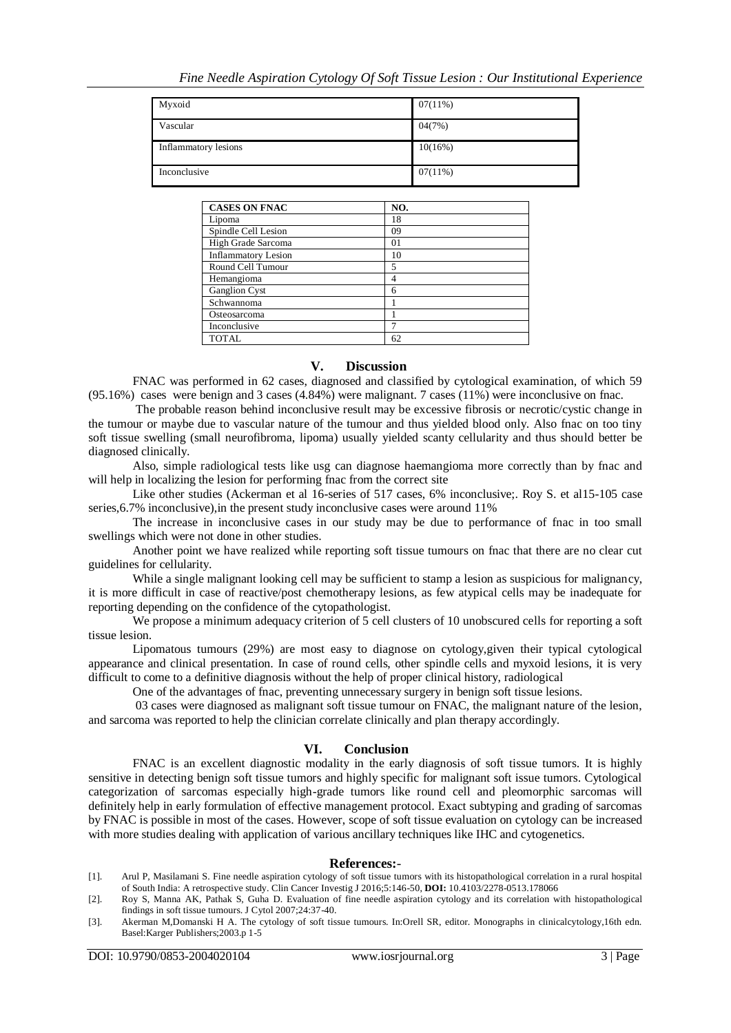| Myxoid               | $07(11\%)$ |
|----------------------|------------|
| Vascular             | 04(7%)     |
| Inflammatory lesions | $10(16\%)$ |
| Inconclusive         | $07(11\%)$ |

| <b>CASES ON FNAC</b>       | NO. |
|----------------------------|-----|
| Lipoma                     | 18  |
| Spindle Cell Lesion        | 09  |
| High Grade Sarcoma         | 01  |
| <b>Inflammatory Lesion</b> | 10  |
| Round Cell Tumour          | 5   |
| Hemangioma                 | 4   |
| Ganglion Cyst              | 6   |
| Schwannoma                 |     |
| Osteosarcoma               |     |
| Inconclusive               |     |
| <b>TOTAL</b>               | 62  |

## **V. Discussion**

FNAC was performed in 62 cases, diagnosed and classified by cytological examination, of which 59 (95.16%) cases were benign and 3 cases (4.84%) were malignant. 7 cases (11%) were inconclusive on fnac.

The probable reason behind inconclusive result may be excessive fibrosis or necrotic/cystic change in the tumour or maybe due to vascular nature of the tumour and thus yielded blood only. Also fnac on too tiny soft tissue swelling (small neurofibroma, lipoma) usually yielded scanty cellularity and thus should better be diagnosed clinically.

Also, simple radiological tests like usg can diagnose haemangioma more correctly than by fnac and will help in localizing the lesion for performing fnac from the correct site

Like other studies (Ackerman et al 16-series of 517 cases, 6% inconclusive;. Roy S. et al15-105 case series,6.7% inconclusive),in the present study inconclusive cases were around 11%

The increase in inconclusive cases in our study may be due to performance of fnac in too small swellings which were not done in other studies.

Another point we have realized while reporting soft tissue tumours on fnac that there are no clear cut guidelines for cellularity.

While a single malignant looking cell may be sufficient to stamp a lesion as suspicious for malignancy, it is more difficult in case of reactive/post chemotherapy lesions, as few atypical cells may be inadequate for reporting depending on the confidence of the cytopathologist.

We propose a minimum adequacy criterion of 5 cell clusters of 10 unobscured cells for reporting a soft tissue lesion.

Lipomatous tumours (29%) are most easy to diagnose on cytology,given their typical cytological appearance and clinical presentation. In case of round cells, other spindle cells and myxoid lesions, it is very difficult to come to a definitive diagnosis without the help of proper clinical history, radiological

One of the advantages of fnac, preventing unnecessary surgery in benign soft tissue lesions.

03 cases were diagnosed as malignant soft tissue tumour on FNAC, the malignant nature of the lesion, and sarcoma was reported to help the clinician correlate clinically and plan therapy accordingly.

## **VI. Conclusion**

FNAC is an excellent diagnostic modality in the early diagnosis of soft tissue tumors. It is highly sensitive in detecting benign soft tissue tumors and highly specific for malignant soft issue tumors. Cytological categorization of sarcomas especially high-grade tumors like round cell and pleomorphic sarcomas will definitely help in early formulation of effective management protocol. Exact subtyping and grading of sarcomas by FNAC is possible in most of the cases. However, scope of soft tissue evaluation on cytology can be increased with more studies dealing with application of various ancillary techniques like IHC and cytogenetics.

#### **References:**-

- [1]. Arul P, Masilamani S. Fine needle aspiration cytology of soft tissue tumors with its histopathological correlation in a rural hospital of South India: A retrospective study. Clin Cancer Investig J 2016;5:146-50, **DOI:** 10.4103/2278-0513.178066
- [2]. Roy S, Manna AK, Pathak S, Guha D. Evaluation of fine needle aspiration cytology and its correlation with histopathological findings in soft tissue tumours. J Cytol 2007;24:37-40.
- [3]. Akerman M,Domanski H A. The cytology of soft tissue tumours. In:Orell SR, editor. Monographs in clinicalcytology,16th edn. Basel:Karger Publishers;2003.p 1-5